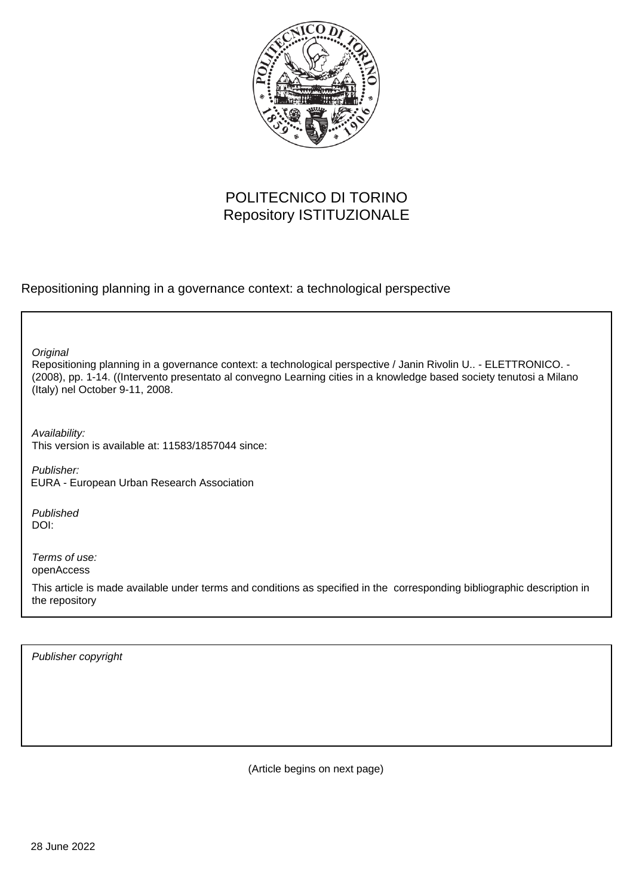

# POLITECNICO DI TORINO Repository ISTITUZIONALE

Repositioning planning in a governance context: a technological perspective

**Original** 

Repositioning planning in a governance context: a technological perspective / Janin Rivolin U.. - ELETTRONICO. - (2008), pp. 1-14. ((Intervento presentato al convegno Learning cities in a knowledge based society tenutosi a Milano (Italy) nel October 9-11, 2008.

Availability: This version is available at: 11583/1857044 since:

Publisher: EURA - European Urban Research Association

Published DOI:

Terms of use: openAccess

This article is made available under terms and conditions as specified in the corresponding bibliographic description in the repository

Publisher copyright

(Article begins on next page)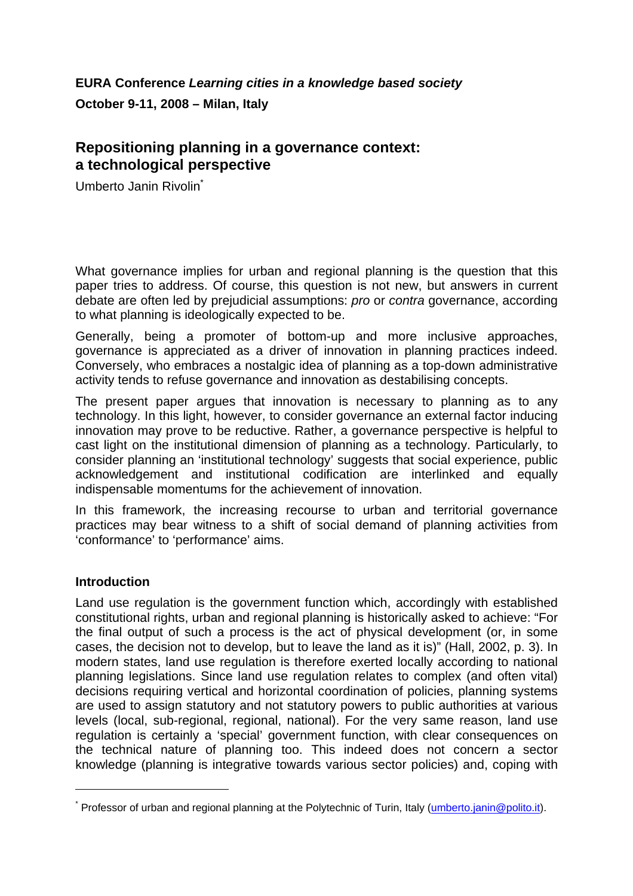# **EURA Conference** *Learning cities in a knowledge based society* **October 9-11, 2008 – Milan, Italy**

## **Repositioning planning in a governance context: a technological perspective**

Umberto Janin Rivolin<sup>\*</sup>

What governance implies for urban and regional planning is the question that this paper tries to address. Of course, this question is not new, but answers in current debate are often led by prejudicial assumptions: *pro* or *contra* governance, according to what planning is ideologically expected to be.

Generally, being a promoter of bottom-up and more inclusive approaches, governance is appreciated as a driver of innovation in planning practices indeed. Conversely, who embraces a nostalgic idea of planning as a top-down administrative activity tends to refuse governance and innovation as destabilising concepts.

The present paper argues that innovation is necessary to planning as to any technology. In this light, however, to consider governance an external factor inducing innovation may prove to be reductive. Rather, a governance perspective is helpful to cast light on the institutional dimension of planning as a technology. Particularly, to consider planning an 'institutional technology' suggests that social experience, public acknowledgement and institutional codification are interlinked and equally indispensable momentums for the achievement of innovation.

In this framework, the increasing recourse to urban and territorial governance practices may bear witness to a shift of social demand of planning activities from 'conformance' to 'performance' aims.

### **Introduction**

l

Land use regulation is the government function which, accordingly with established constitutional rights, urban and regional planning is historically asked to achieve: "For the final output of such a process is the act of physical development (or, in some cases, the decision not to develop, but to leave the land as it is)" (Hall, 2002, p. 3). In modern states, land use regulation is therefore exerted locally according to national planning legislations. Since land use regulation relates to complex (and often vital) decisions requiring vertical and horizontal coordination of policies, planning systems are used to assign statutory and not statutory powers to public authorities at various levels (local, sub-regional, regional, national). For the very same reason, land use regulation is certainly a 'special' government function, with clear consequences on the technical nature of planning too. This indeed does not concern a sector knowledge (planning is integrative towards various sector policies) and, coping with

<sup>\*</sup> Professor of urban and regional planning at the Polytechnic of Turin, Italy (umberto.janin@polito.it).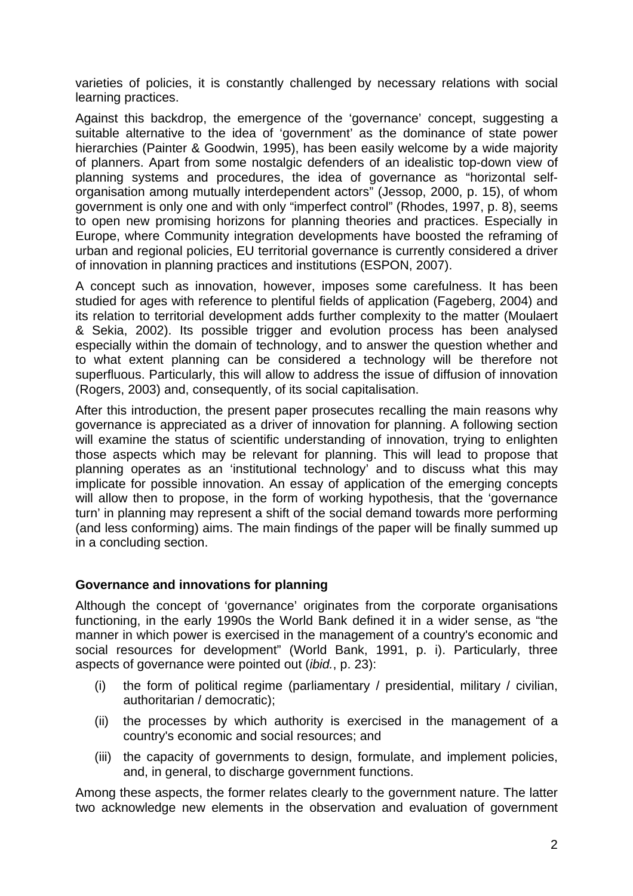varieties of policies, it is constantly challenged by necessary relations with social learning practices.

Against this backdrop, the emergence of the 'governance' concept, suggesting a suitable alternative to the idea of 'government' as the dominance of state power hierarchies (Painter & Goodwin, 1995), has been easily welcome by a wide majority of planners. Apart from some nostalgic defenders of an idealistic top-down view of planning systems and procedures, the idea of governance as "horizontal selforganisation among mutually interdependent actors" (Jessop, 2000, p. 15), of whom government is only one and with only "imperfect control" (Rhodes, 1997, p. 8), seems to open new promising horizons for planning theories and practices. Especially in Europe, where Community integration developments have boosted the reframing of urban and regional policies, EU territorial governance is currently considered a driver of innovation in planning practices and institutions (ESPON, 2007).

A concept such as innovation, however, imposes some carefulness. It has been studied for ages with reference to plentiful fields of application (Fageberg, 2004) and its relation to territorial development adds further complexity to the matter (Moulaert & Sekia, 2002). Its possible trigger and evolution process has been analysed especially within the domain of technology, and to answer the question whether and to what extent planning can be considered a technology will be therefore not superfluous. Particularly, this will allow to address the issue of diffusion of innovation (Rogers, 2003) and, consequently, of its social capitalisation.

After this introduction, the present paper prosecutes recalling the main reasons why governance is appreciated as a driver of innovation for planning. A following section will examine the status of scientific understanding of innovation, trying to enlighten those aspects which may be relevant for planning. This will lead to propose that planning operates as an 'institutional technology' and to discuss what this may implicate for possible innovation. An essay of application of the emerging concepts will allow then to propose, in the form of working hypothesis, that the 'governance turn' in planning may represent a shift of the social demand towards more performing (and less conforming) aims. The main findings of the paper will be finally summed up in a concluding section.

#### **Governance and innovations for planning**

Although the concept of 'governance' originates from the corporate organisations functioning, in the early 1990s the World Bank defined it in a wider sense, as "the manner in which power is exercised in the management of a country's economic and social resources for development" (World Bank, 1991, p. i). Particularly, three aspects of governance were pointed out (*ibid.*, p. 23):

- (i) the form of political regime (parliamentary / presidential, military / civilian, authoritarian / democratic);
- (ii) the processes by which authority is exercised in the management of a country's economic and social resources; and
- (iii) the capacity of governments to design, formulate, and implement policies, and, in general, to discharge government functions.

Among these aspects, the former relates clearly to the government nature. The latter two acknowledge new elements in the observation and evaluation of government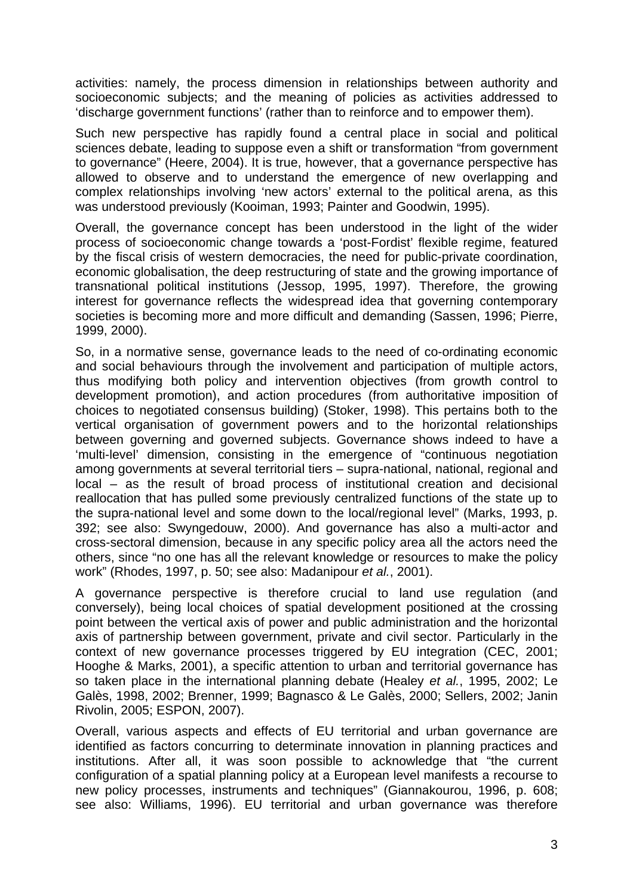activities: namely, the process dimension in relationships between authority and socioeconomic subjects; and the meaning of policies as activities addressed to 'discharge government functions' (rather than to reinforce and to empower them).

Such new perspective has rapidly found a central place in social and political sciences debate, leading to suppose even a shift or transformation "from government to governance" (Heere, 2004). It is true, however, that a governance perspective has allowed to observe and to understand the emergence of new overlapping and complex relationships involving 'new actors' external to the political arena, as this was understood previously (Kooiman, 1993; Painter and Goodwin, 1995).

Overall, the governance concept has been understood in the light of the wider process of socioeconomic change towards a 'post-Fordist' flexible regime, featured by the fiscal crisis of western democracies, the need for public-private coordination, economic globalisation, the deep restructuring of state and the growing importance of transnational political institutions (Jessop, 1995, 1997). Therefore, the growing interest for governance reflects the widespread idea that governing contemporary societies is becoming more and more difficult and demanding (Sassen, 1996; Pierre, 1999, 2000).

So, in a normative sense, governance leads to the need of co-ordinating economic and social behaviours through the involvement and participation of multiple actors, thus modifying both policy and intervention objectives (from growth control to development promotion), and action procedures (from authoritative imposition of choices to negotiated consensus building) (Stoker, 1998). This pertains both to the vertical organisation of government powers and to the horizontal relationships between governing and governed subjects. Governance shows indeed to have a 'multi-level' dimension, consisting in the emergence of "continuous negotiation among governments at several territorial tiers – supra-national, national, regional and local – as the result of broad process of institutional creation and decisional reallocation that has pulled some previously centralized functions of the state up to the supra-national level and some down to the local/regional level" (Marks, 1993, p. 392; see also: Swyngedouw, 2000). And governance has also a multi-actor and cross-sectoral dimension, because in any specific policy area all the actors need the others, since "no one has all the relevant knowledge or resources to make the policy work" (Rhodes, 1997, p. 50; see also: Madanipour *et al.*, 2001).

A governance perspective is therefore crucial to land use regulation (and conversely), being local choices of spatial development positioned at the crossing point between the vertical axis of power and public administration and the horizontal axis of partnership between government, private and civil sector. Particularly in the context of new governance processes triggered by EU integration (CEC, 2001; Hooghe & Marks, 2001), a specific attention to urban and territorial governance has so taken place in the international planning debate (Healey *et al.*, 1995, 2002; Le Galès, 1998, 2002; Brenner, 1999; Bagnasco & Le Galès, 2000; Sellers, 2002; Janin Rivolin, 2005; ESPON, 2007).

Overall, various aspects and effects of EU territorial and urban governance are identified as factors concurring to determinate innovation in planning practices and institutions. After all, it was soon possible to acknowledge that "the current configuration of a spatial planning policy at a European level manifests a recourse to new policy processes, instruments and techniques" (Giannakourou, 1996, p. 608; see also: Williams, 1996). EU territorial and urban governance was therefore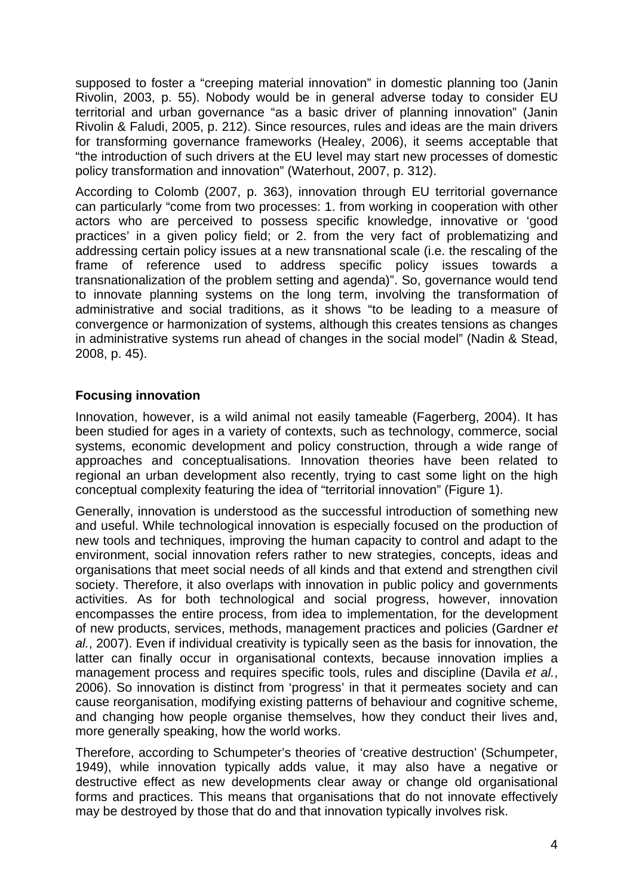supposed to foster a "creeping material innovation" in domestic planning too (Janin Rivolin, 2003, p. 55). Nobody would be in general adverse today to consider EU territorial and urban governance "as a basic driver of planning innovation" (Janin Rivolin & Faludi, 2005, p. 212). Since resources, rules and ideas are the main drivers for transforming governance frameworks (Healey, 2006), it seems acceptable that "the introduction of such drivers at the EU level may start new processes of domestic policy transformation and innovation" (Waterhout, 2007, p. 312).

According to Colomb (2007, p. 363), innovation through EU territorial governance can particularly "come from two processes: 1. from working in cooperation with other actors who are perceived to possess specific knowledge, innovative or 'good practices' in a given policy field; or 2. from the very fact of problematizing and addressing certain policy issues at a new transnational scale (i.e. the rescaling of the frame of reference used to address specific policy issues towards a transnationalization of the problem setting and agenda)". So, governance would tend to innovate planning systems on the long term, involving the transformation of administrative and social traditions, as it shows "to be leading to a measure of convergence or harmonization of systems, although this creates tensions as changes in administrative systems run ahead of changes in the social model" (Nadin & Stead, 2008, p. 45).

### **Focusing innovation**

Innovation, however, is a wild animal not easily tameable (Fagerberg, 2004). It has been studied for ages in a variety of contexts, such as technology, commerce, social systems, economic development and policy construction, through a wide range of approaches and conceptualisations. Innovation theories have been related to regional an urban development also recently, trying to cast some light on the high conceptual complexity featuring the idea of "territorial innovation" (Figure 1).

Generally, innovation is understood as the successful introduction of something new and useful. While technological innovation is especially focused on the production of new tools and techniques, improving the human capacity to control and adapt to the environment, social innovation refers rather to new strategies, concepts, ideas and organisations that meet social needs of all kinds and that extend and strengthen civil society. Therefore, it also overlaps with innovation in public policy and governments activities. As for both technological and social progress, however, innovation encompasses the entire process, from idea to implementation, for the development of new products, services, methods, management practices and policies (Gardner *et al.*, 2007). Even if individual creativity is typically seen as the basis for innovation, the latter can finally occur in organisational contexts, because innovation implies a management process and requires specific tools, rules and discipline (Davila *et al.*, 2006). So innovation is distinct from 'progress' in that it permeates society and can cause reorganisation, modifying existing patterns of behaviour and cognitive scheme, and changing how people organise themselves, how they conduct their lives and, more generally speaking, how the world works.

Therefore, according to Schumpeter's theories of 'creative destruction' (Schumpeter, 1949), while innovation typically adds value, it may also have a negative or destructive effect as new developments clear away or change old organisational forms and practices. This means that organisations that do not innovate effectively may be destroyed by those that do and that innovation typically involves risk.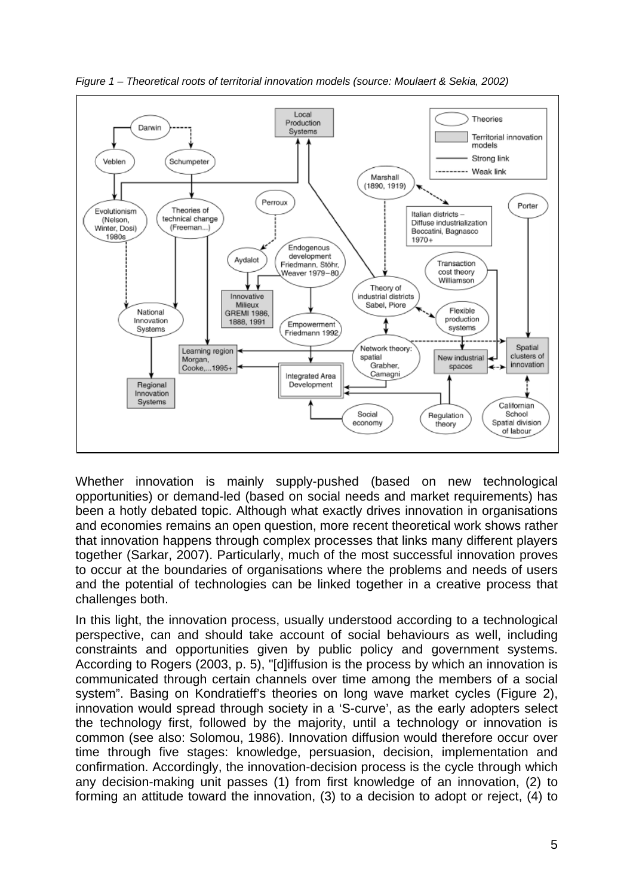

*Figure 1 – Theoretical roots of territorial innovation models (source: Moulaert & Sekia, 2002)* 

Whether innovation is mainly supply-pushed (based on new technological opportunities) or demand-led (based on social needs and market requirements) has been a hotly debated topic. Although what exactly drives innovation in organisations and economies remains an open question, more recent theoretical work shows rather that innovation happens through complex processes that links many different players together (Sarkar, 2007). Particularly, much of the most successful innovation proves to occur at the boundaries of organisations where the problems and needs of users and the potential of technologies can be linked together in a creative process that challenges both.

In this light, the innovation process, usually understood according to a technological perspective, can and should take account of social behaviours as well, including constraints and opportunities given by public policy and government systems. According to Rogers (2003, p. 5), "[d]iffusion is the process by which an innovation is communicated through certain channels over time among the members of a social system". Basing on Kondratieff's theories on long wave market cycles (Figure 2), innovation would spread through society in a 'S-curve', as the early adopters select the technology first, followed by the majority, until a technology or innovation is common (see also: Solomou, 1986). Innovation diffusion would therefore occur over time through five stages: knowledge, persuasion, decision, implementation and confirmation. Accordingly, the innovation-decision process is the cycle through which any decision-making unit passes (1) from first knowledge of an innovation, (2) to forming an attitude toward the innovation, (3) to a decision to adopt or reject, (4) to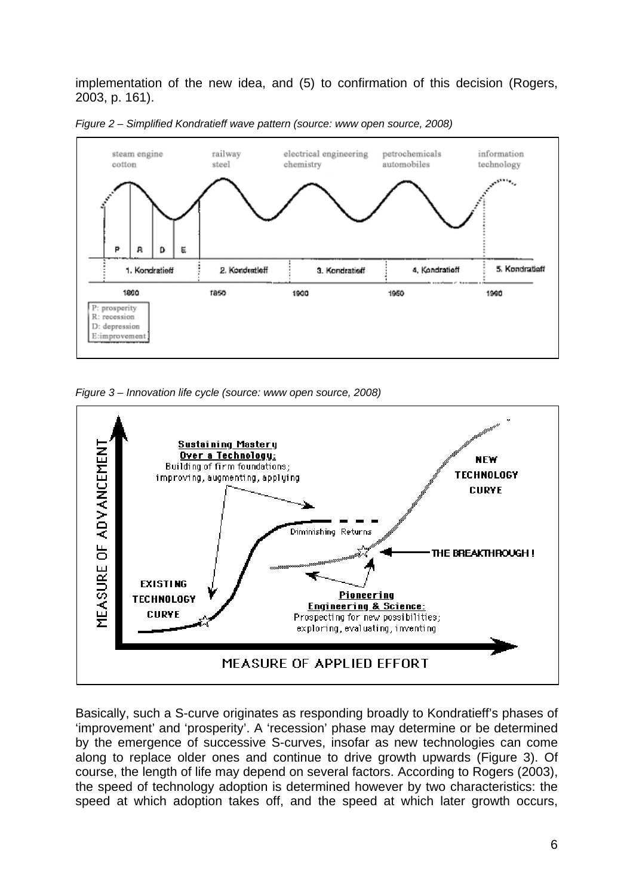implementation of the new idea, and (5) to confirmation of this decision (Rogers, 2003, p. 161).



*Figure 2 – Simplified Kondratieff wave pattern (source: www open source, 2008)* 

*Figure 3 – Innovation life cycle (source: www open source, 2008)* 



Basically, such a S-curve originates as responding broadly to Kondratieff's phases of 'improvement' and 'prosperity'. A 'recession' phase may determine or be determined by the emergence of successive S-curves, insofar as new technologies can come along to replace older ones and continue to drive growth upwards (Figure 3). Of course, the length of life may depend on several factors. According to Rogers (2003), the speed of technology adoption is determined however by two characteristics: the speed at which adoption takes off, and the speed at which later growth occurs,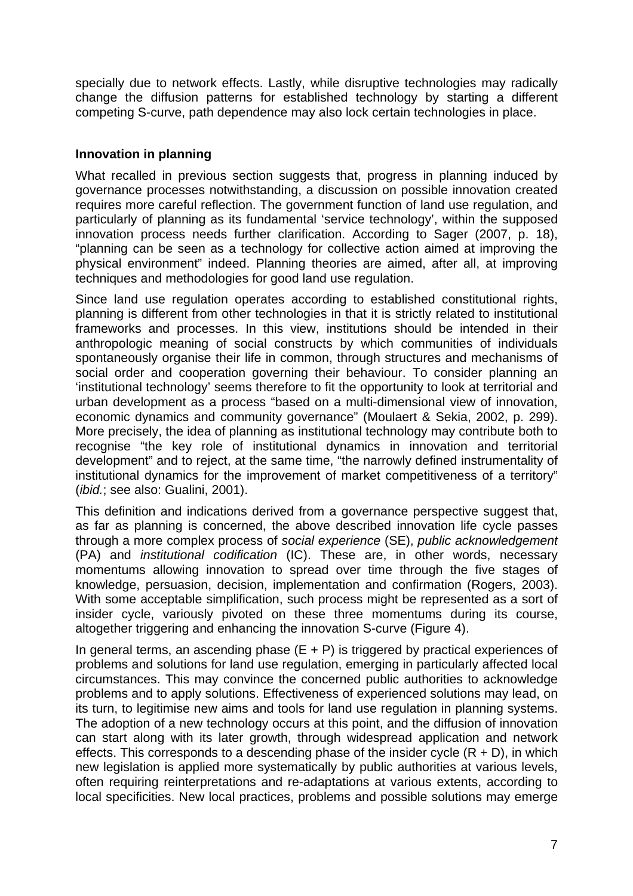specially due to network effects. Lastly, while disruptive technologies may radically change the diffusion patterns for established technology by starting a different competing S-curve, path dependence may also lock certain technologies in place.

#### **Innovation in planning**

What recalled in previous section suggests that, progress in planning induced by governance processes notwithstanding, a discussion on possible innovation created requires more careful reflection. The government function of land use regulation, and particularly of planning as its fundamental 'service technology', within the supposed innovation process needs further clarification. According to Sager (2007, p. 18), "planning can be seen as a technology for collective action aimed at improving the physical environment" indeed. Planning theories are aimed, after all, at improving techniques and methodologies for good land use regulation.

Since land use regulation operates according to established constitutional rights, planning is different from other technologies in that it is strictly related to institutional frameworks and processes. In this view, institutions should be intended in their anthropologic meaning of social constructs by which communities of individuals spontaneously organise their life in common, through structures and mechanisms of social order and cooperation governing their behaviour. To consider planning an 'institutional technology' seems therefore to fit the opportunity to look at territorial and urban development as a process "based on a multi-dimensional view of innovation, economic dynamics and community governance" (Moulaert & Sekia, 2002, p. 299). More precisely, the idea of planning as institutional technology may contribute both to recognise "the key role of institutional dynamics in innovation and territorial development" and to reject, at the same time, "the narrowly defined instrumentality of institutional dynamics for the improvement of market competitiveness of a territory" (*ibid.*; see also: Gualini, 2001).

This definition and indications derived from a governance perspective suggest that, as far as planning is concerned, the above described innovation life cycle passes through a more complex process of *social experience* (SE), *public acknowledgement* (PA) and *institutional codification* (IC). These are, in other words, necessary momentums allowing innovation to spread over time through the five stages of knowledge, persuasion, decision, implementation and confirmation (Rogers, 2003). With some acceptable simplification, such process might be represented as a sort of insider cycle, variously pivoted on these three momentums during its course, altogether triggering and enhancing the innovation S-curve (Figure 4).

In general terms, an ascending phase  $(E + P)$  is triggered by practical experiences of problems and solutions for land use regulation, emerging in particularly affected local circumstances. This may convince the concerned public authorities to acknowledge problems and to apply solutions. Effectiveness of experienced solutions may lead, on its turn, to legitimise new aims and tools for land use regulation in planning systems. The adoption of a new technology occurs at this point, and the diffusion of innovation can start along with its later growth, through widespread application and network effects. This corresponds to a descending phase of the insider cycle  $(R + D)$ , in which new legislation is applied more systematically by public authorities at various levels, often requiring reinterpretations and re-adaptations at various extents, according to local specificities. New local practices, problems and possible solutions may emerge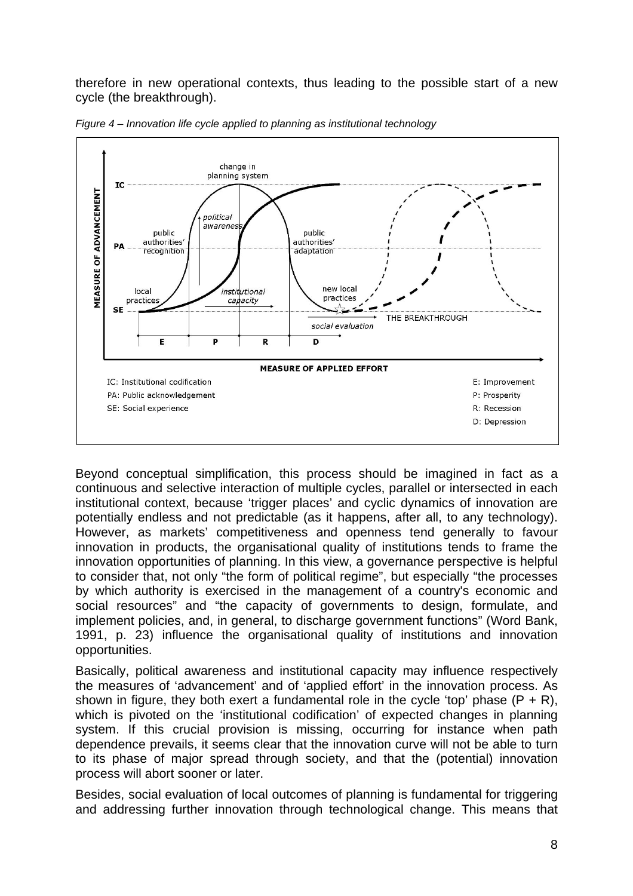therefore in new operational contexts, thus leading to the possible start of a new cycle (the breakthrough).



*Figure 4 – Innovation life cycle applied to planning as institutional technology* 

Beyond conceptual simplification, this process should be imagined in fact as a continuous and selective interaction of multiple cycles, parallel or intersected in each institutional context, because 'trigger places' and cyclic dynamics of innovation are potentially endless and not predictable (as it happens, after all, to any technology). However, as markets' competitiveness and openness tend generally to favour innovation in products, the organisational quality of institutions tends to frame the innovation opportunities of planning. In this view, a governance perspective is helpful to consider that, not only "the form of political regime", but especially "the processes by which authority is exercised in the management of a country's economic and social resources" and "the capacity of governments to design, formulate, and implement policies, and, in general, to discharge government functions" (Word Bank, 1991, p. 23) influence the organisational quality of institutions and innovation opportunities.

Basically, political awareness and institutional capacity may influence respectively the measures of 'advancement' and of 'applied effort' in the innovation process. As shown in figure, they both exert a fundamental role in the cycle 'top' phase  $(P + R)$ , which is pivoted on the 'institutional codification' of expected changes in planning system. If this crucial provision is missing, occurring for instance when path dependence prevails, it seems clear that the innovation curve will not be able to turn to its phase of major spread through society, and that the (potential) innovation process will abort sooner or later.

Besides, social evaluation of local outcomes of planning is fundamental for triggering and addressing further innovation through technological change. This means that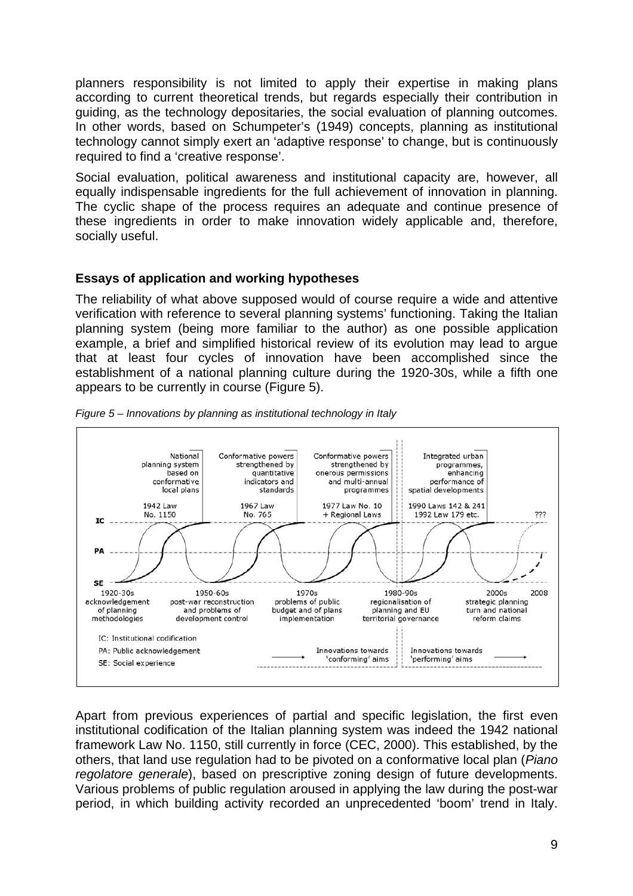planners responsibility is not limited to apply their expertise in making plans according to current theoretical trends, but regards especially their contribution in guiding, as the technology depositaries, the social evaluation of planning outcomes. In other words, based on Schumpeter's (1949) concepts, planning as institutional technology cannot simply exert an 'adaptive response' to change, but is continuously required to find a 'creative response'.

Social evaluation, political awareness and institutional capacity are, however, all equally indispensable ingredients for the full achievement of innovation in planning. The cyclic shape of the process requires an adequate and continue presence of these ingredients in order to make innovation widely applicable and, therefore, socially useful.

#### **Essays of application and working hypotheses**

The reliability of what above supposed would of course require a wide and attentive verification with reference to several planning systems' functioning. Taking the Italian planning system (being more familiar to the author) as one possible application example, a brief and simplified historical review of its evolution may lead to argue that at least four cycles of innovation have been accomplished since the establishment of a national planning culture during the 1920-30s, while a fifth one appears to be currently in course (Figure 5).



*Figure 5 – Innovations by planning as institutional technology in Italy* 

Apart from previous experiences of partial and specific legislation, the first even institutional codification of the Italian planning system was indeed the 1942 national framework Law No. 1150, still currently in force (CEC, 2000). This established, by the others, that land use regulation had to be pivoted on a conformative local plan (*Piano regolatore generale*), based on prescriptive zoning design of future developments. Various problems of public regulation aroused in applying the law during the post-war period, in which building activity recorded an unprecedented 'boom' trend in Italy.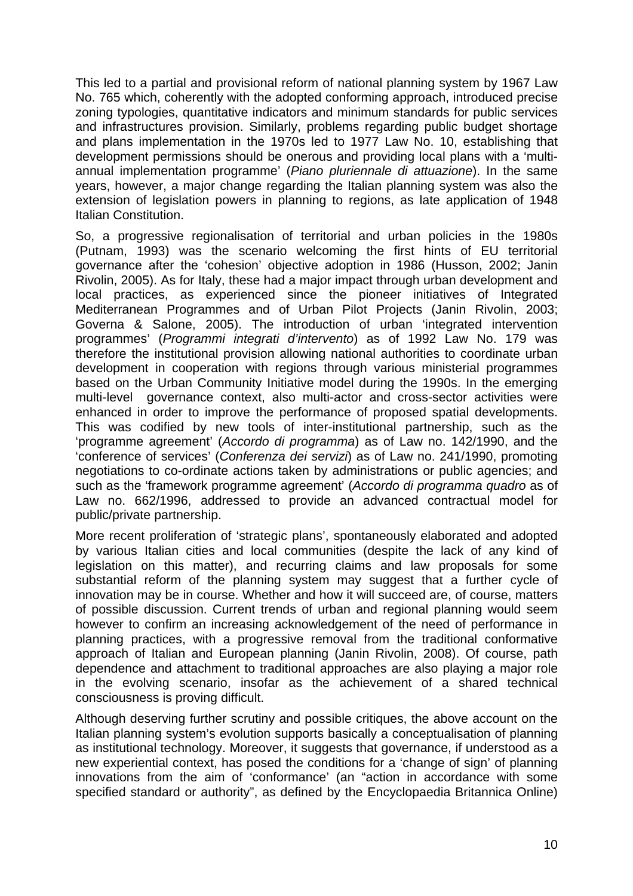This led to a partial and provisional reform of national planning system by 1967 Law No. 765 which, coherently with the adopted conforming approach, introduced precise zoning typologies, quantitative indicators and minimum standards for public services and infrastructures provision. Similarly, problems regarding public budget shortage and plans implementation in the 1970s led to 1977 Law No. 10, establishing that development permissions should be onerous and providing local plans with a 'multiannual implementation programme' (*Piano pluriennale di attuazione*). In the same years, however, a major change regarding the Italian planning system was also the extension of legislation powers in planning to regions, as late application of 1948 Italian Constitution.

So, a progressive regionalisation of territorial and urban policies in the 1980s (Putnam, 1993) was the scenario welcoming the first hints of EU territorial governance after the 'cohesion' objective adoption in 1986 (Husson, 2002; Janin Rivolin, 2005). As for Italy, these had a major impact through urban development and local practices, as experienced since the pioneer initiatives of Integrated Mediterranean Programmes and of Urban Pilot Projects (Janin Rivolin, 2003; Governa & Salone, 2005). The introduction of urban 'integrated intervention programmes' (*Programmi integrati d'intervento*) as of 1992 Law No. 179 was therefore the institutional provision allowing national authorities to coordinate urban development in cooperation with regions through various ministerial programmes based on the Urban Community Initiative model during the 1990s. In the emerging multi-level governance context, also multi-actor and cross-sector activities were enhanced in order to improve the performance of proposed spatial developments. This was codified by new tools of inter-institutional partnership, such as the 'programme agreement' (*Accordo di programma*) as of Law no. 142/1990, and the 'conference of services' (*Conferenza dei servizi*) as of Law no. 241/1990, promoting negotiations to co-ordinate actions taken by administrations or public agencies; and such as the 'framework programme agreement' (*Accordo di programma quadro* as of Law no. 662/1996, addressed to provide an advanced contractual model for public/private partnership.

More recent proliferation of 'strategic plans', spontaneously elaborated and adopted by various Italian cities and local communities (despite the lack of any kind of legislation on this matter), and recurring claims and law proposals for some substantial reform of the planning system may suggest that a further cycle of innovation may be in course. Whether and how it will succeed are, of course, matters of possible discussion. Current trends of urban and regional planning would seem however to confirm an increasing acknowledgement of the need of performance in planning practices, with a progressive removal from the traditional conformative approach of Italian and European planning (Janin Rivolin, 2008). Of course, path dependence and attachment to traditional approaches are also playing a major role in the evolving scenario, insofar as the achievement of a shared technical consciousness is proving difficult.

Although deserving further scrutiny and possible critiques, the above account on the Italian planning system's evolution supports basically a conceptualisation of planning as institutional technology. Moreover, it suggests that governance, if understood as a new experiential context, has posed the conditions for a 'change of sign' of planning innovations from the aim of 'conformance' (an "action in accordance with some specified standard or authority", as defined by the Encyclopaedia Britannica Online)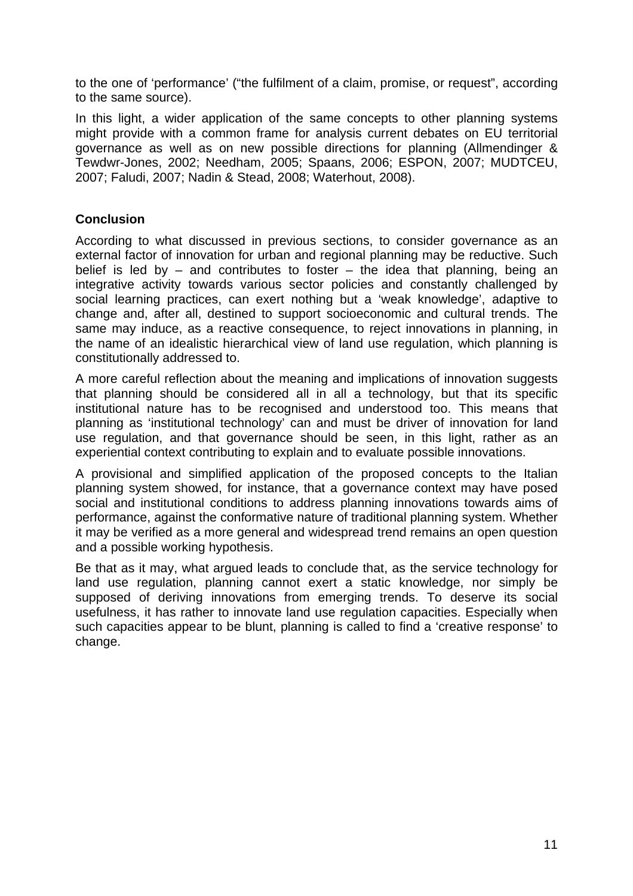to the one of 'performance' ("the fulfilment of a claim, promise, or request", according to the same source).

In this light, a wider application of the same concepts to other planning systems might provide with a common frame for analysis current debates on EU territorial governance as well as on new possible directions for planning (Allmendinger & Tewdwr-Jones, 2002; Needham, 2005; Spaans, 2006; ESPON, 2007; MUDTCEU, 2007; Faludi, 2007; Nadin & Stead, 2008; Waterhout, 2008).

#### **Conclusion**

According to what discussed in previous sections, to consider governance as an external factor of innovation for urban and regional planning may be reductive. Such belief is led by  $-$  and contributes to foster  $-$  the idea that planning, being an integrative activity towards various sector policies and constantly challenged by social learning practices, can exert nothing but a 'weak knowledge', adaptive to change and, after all, destined to support socioeconomic and cultural trends. The same may induce, as a reactive consequence, to reject innovations in planning, in the name of an idealistic hierarchical view of land use regulation, which planning is constitutionally addressed to.

A more careful reflection about the meaning and implications of innovation suggests that planning should be considered all in all a technology, but that its specific institutional nature has to be recognised and understood too. This means that planning as 'institutional technology' can and must be driver of innovation for land use regulation, and that governance should be seen, in this light, rather as an experiential context contributing to explain and to evaluate possible innovations.

A provisional and simplified application of the proposed concepts to the Italian planning system showed, for instance, that a governance context may have posed social and institutional conditions to address planning innovations towards aims of performance, against the conformative nature of traditional planning system. Whether it may be verified as a more general and widespread trend remains an open question and a possible working hypothesis.

Be that as it may, what argued leads to conclude that, as the service technology for land use regulation, planning cannot exert a static knowledge, nor simply be supposed of deriving innovations from emerging trends. To deserve its social usefulness, it has rather to innovate land use regulation capacities. Especially when such capacities appear to be blunt, planning is called to find a 'creative response' to change.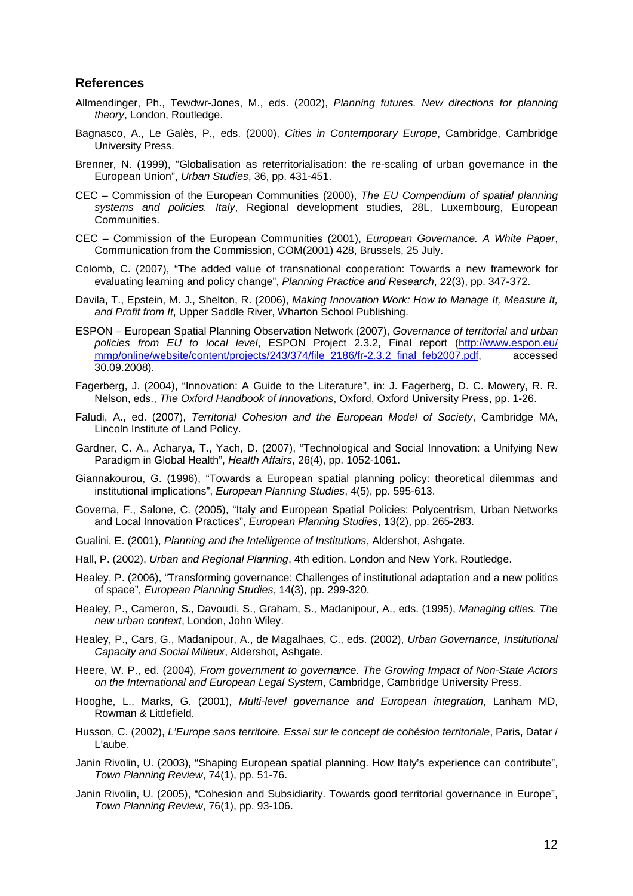#### **References**

- Allmendinger, Ph., Tewdwr-Jones, M., eds. (2002), *Planning futures. New directions for planning theory*, London, Routledge.
- Bagnasco, A., Le Galès, P., eds. (2000), *Cities in Contemporary Europe*, Cambridge, Cambridge University Press.
- Brenner, N. (1999), "Globalisation as reterritorialisation: the re-scaling of urban governance in the European Union", *Urban Studies*, 36, pp. 431-451.
- CEC Commission of the European Communities (2000), *The EU Compendium of spatial planning systems and policies. Italy*, Regional development studies, 28L, Luxembourg, European Communities.
- CEC Commission of the European Communities (2001), *European Governance. A White Paper*, Communication from the Commission, COM(2001) 428, Brussels, 25 July.
- Colomb, C. (2007), "The added value of transnational cooperation: Towards a new framework for evaluating learning and policy change", *Planning Practice and Research*, 22(3), pp. 347-372.
- Davila, T., Epstein, M. J., Shelton, R. (2006), *Making Innovation Work: How to Manage It, Measure It, and Profit from It*, Upper Saddle River, Wharton School Publishing.
- ESPON European Spatial Planning Observation Network (2007), *Governance of territorial and urban policies from EU to local level*, ESPON Project 2.3.2, Final report (http://www.espon.eu/ mmp/online/website/content/projects/243/374/file\_2186/fr-2.3.2\_final\_feb2007.pdf, accessed 30.09.2008).
- Fagerberg, J. (2004), "Innovation: A Guide to the Literature", in: J. Fagerberg, D. C. Mowery, R. R. Nelson, eds., *The Oxford Handbook of Innovations*, Oxford, Oxford University Press, pp. 1-26.
- Faludi, A., ed. (2007), *Territorial Cohesion and the European Model of Society*, Cambridge MA, Lincoln Institute of Land Policy.
- Gardner, C. A., Acharya, T., Yach, D. (2007), "Technological and Social Innovation: a Unifying New Paradigm in Global Health", *Health Affairs*, 26(4), pp. 1052-1061.
- Giannakourou, G. (1996), "Towards a European spatial planning policy: theoretical dilemmas and institutional implications", *European Planning Studies*, 4(5), pp. 595-613.
- Governa, F., Salone, C. (2005), "Italy and European Spatial Policies: Polycentrism, Urban Networks and Local Innovation Practices", *European Planning Studies*, 13(2), pp. 265-283.
- Gualini, E. (2001), *Planning and the Intelligence of Institutions*, Aldershot, Ashgate.
- Hall, P. (2002), *Urban and Regional Planning*, 4th edition, London and New York, Routledge.
- Healey, P. (2006), "Transforming governance: Challenges of institutional adaptation and a new politics of space", *European Planning Studies*, 14(3), pp. 299-320.
- Healey, P., Cameron, S., Davoudi, S., Graham, S., Madanipour, A., eds. (1995), *Managing cities. The new urban context*, London, John Wiley.
- Healey, P., Cars, G., Madanipour, A., de Magalhaes, C., eds. (2002), *Urban Governance, Institutional Capacity and Social Milieux*, Aldershot, Ashgate.
- Heere, W. P., ed. (2004), *From government to governance. The Growing Impact of Non-State Actors on the International and European Legal System*, Cambridge, Cambridge University Press.
- Hooghe, L., Marks, G. (2001), *Multi-level governance and European integration*, Lanham MD, Rowman & Littlefield.
- Husson, C. (2002), *L'Europe sans territoire. Essai sur le concept de cohésion territoriale*, Paris, Datar / L'aube.
- Janin Rivolin, U. (2003), "Shaping European spatial planning. How Italy's experience can contribute", *Town Planning Review*, 74(1), pp. 51-76.
- Janin Rivolin, U. (2005), "Cohesion and Subsidiarity. Towards good territorial governance in Europe", *Town Planning Review*, 76(1), pp. 93-106.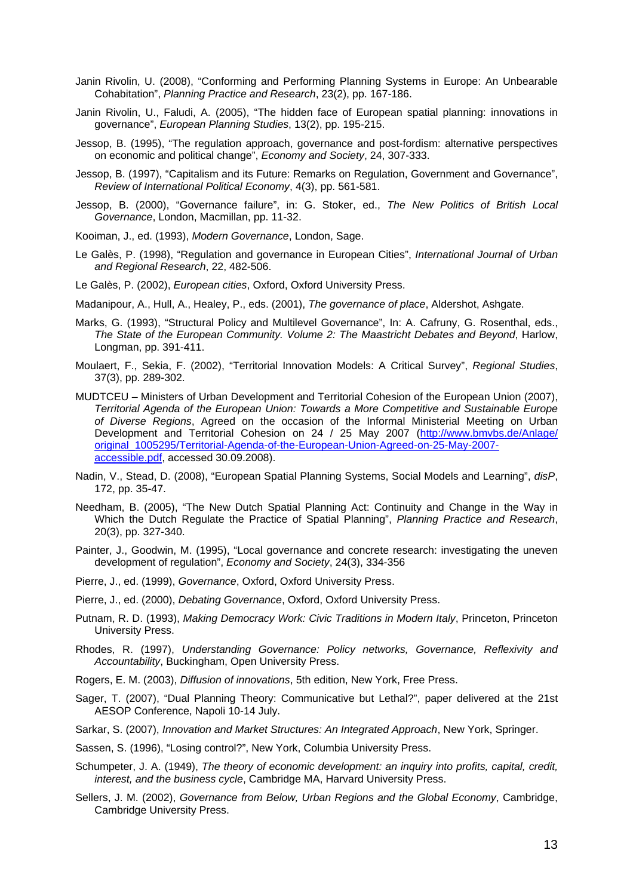- Janin Rivolin, U. (2008), "Conforming and Performing Planning Systems in Europe: An Unbearable Cohabitation", *Planning Practice and Research*, 23(2), pp. 167-186.
- Janin Rivolin, U., Faludi, A. (2005), "The hidden face of European spatial planning: innovations in governance", *European Planning Studies*, 13(2), pp. 195-215.
- Jessop, B. (1995), "The regulation approach, governance and post-fordism: alternative perspectives on economic and political change", *Economy and Society*, 24, 307-333.
- Jessop, B. (1997), "Capitalism and its Future: Remarks on Regulation, Government and Governance", *Review of International Political Economy*, 4(3), pp. 561-581.
- Jessop, B. (2000), "Governance failure", in: G. Stoker, ed., *The New Politics of British Local Governance*, London, Macmillan, pp. 11-32.
- Kooiman, J., ed. (1993), *Modern Governance*, London, Sage.
- Le Galès, P. (1998), "Regulation and governance in European Cities", *International Journal of Urban and Regional Research*, 22, 482-506.
- Le Galès, P. (2002), *European cities*, Oxford, Oxford University Press.
- Madanipour, A., Hull, A., Healey, P., eds. (2001), *The governance of place*, Aldershot, Ashgate.
- Marks, G. (1993), "Structural Policy and Multilevel Governance", In: A. Cafruny, G. Rosenthal, eds., *The State of the European Community. Volume 2: The Maastricht Debates and Beyond*, Harlow, Longman, pp. 391-411.
- Moulaert, F., Sekia, F. (2002), "Territorial Innovation Models: A Critical Survey", *Regional Studies*, 37(3), pp. 289-302.
- MUDTCEU Ministers of Urban Development and Territorial Cohesion of the European Union (2007), *Territorial Agenda of the European Union: Towards a More Competitive and Sustainable Europe of Diverse Regions*, Agreed on the occasion of the Informal Ministerial Meeting on Urban Development and Territorial Cohesion on 24 / 25 May 2007 (http://www.bmvbs.de/Anlage/ original\_1005295/Territorial-Agenda-of-the-European-Union-Agreed-on-25-May-2007 accessible.pdf, accessed 30.09.2008).
- Nadin, V., Stead, D. (2008), "European Spatial Planning Systems, Social Models and Learning", *disP*, 172, pp. 35-47.
- Needham, B. (2005), "The New Dutch Spatial Planning Act: Continuity and Change in the Way in Which the Dutch Regulate the Practice of Spatial Planning", *Planning Practice and Research*, 20(3), pp. 327-340.
- Painter, J., Goodwin, M. (1995), "Local governance and concrete research: investigating the uneven development of regulation", *Economy and Society*, 24(3), 334-356
- Pierre, J., ed. (1999), *Governance*, Oxford, Oxford University Press.
- Pierre, J., ed. (2000), *Debating Governance*, Oxford, Oxford University Press.
- Putnam, R. D. (1993), *Making Democracy Work: Civic Traditions in Modern Italy*, Princeton, Princeton University Press.
- Rhodes, R. (1997), *Understanding Governance: Policy networks, Governance, Reflexivity and Accountability*, Buckingham, Open University Press.
- Rogers, E. M. (2003), *Diffusion of innovations*, 5th edition, New York, Free Press.
- Sager, T. (2007), "Dual Planning Theory: Communicative but Lethal?", paper delivered at the 21st AESOP Conference, Napoli 10-14 July.
- Sarkar, S. (2007), *Innovation and Market Structures: An Integrated Approach*, New York, Springer.
- Sassen, S. (1996), "Losing control?", New York, Columbia University Press.
- Schumpeter, J. A. (1949), *The theory of economic development: an inquiry into profits, capital, credit, interest, and the business cycle*, Cambridge MA, Harvard University Press.
- Sellers, J. M. (2002), *Governance from Below, Urban Regions and the Global Economy*, Cambridge, Cambridge University Press.